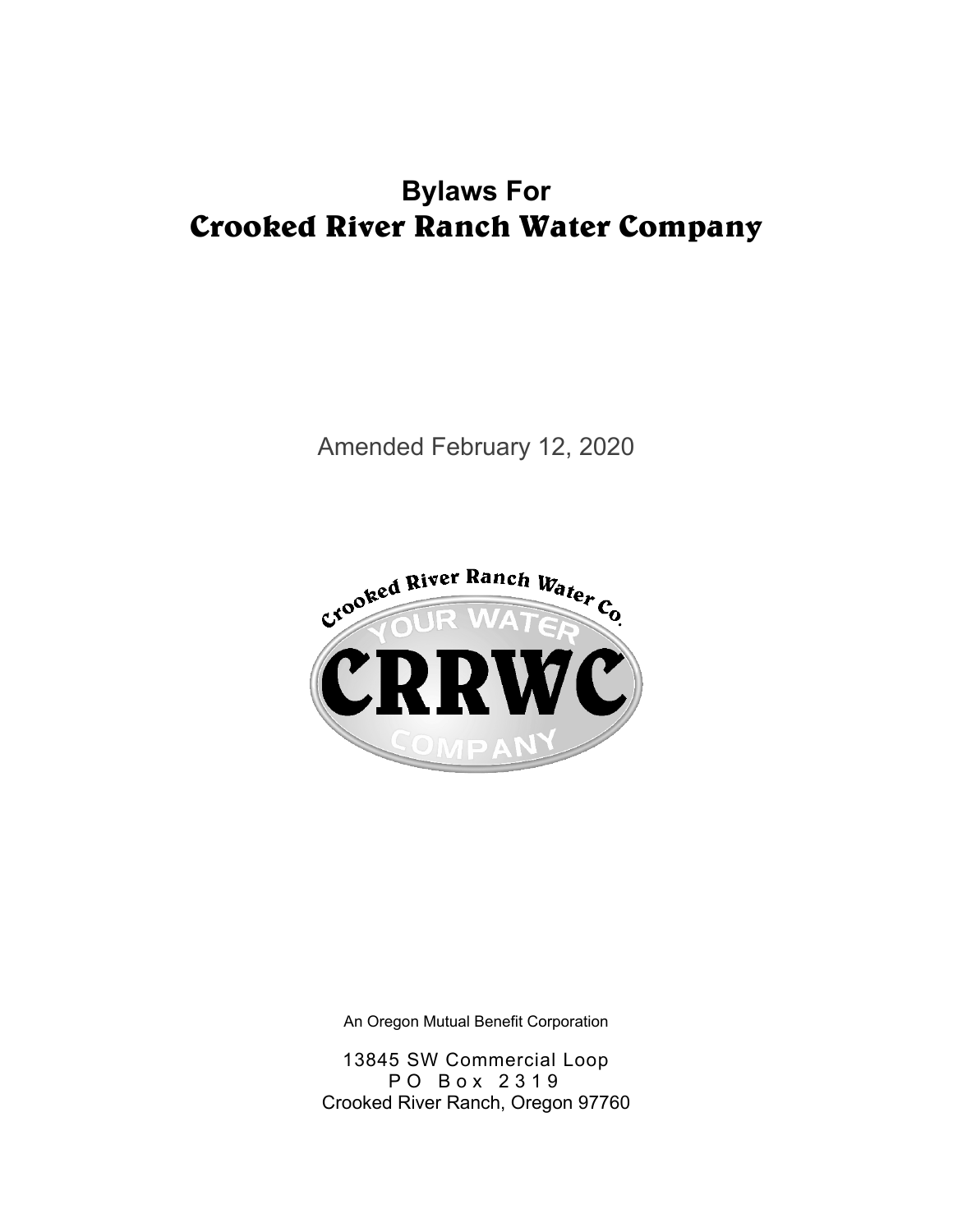# **Bylaws For Crooked River Ranch Water Company**

Amended February 12, 2020



An Oregon Mutual Benefit Corporation

13845 SW Commercial Loop P O B o x 2 3 1 9 Crooked River Ranch, Oregon 97760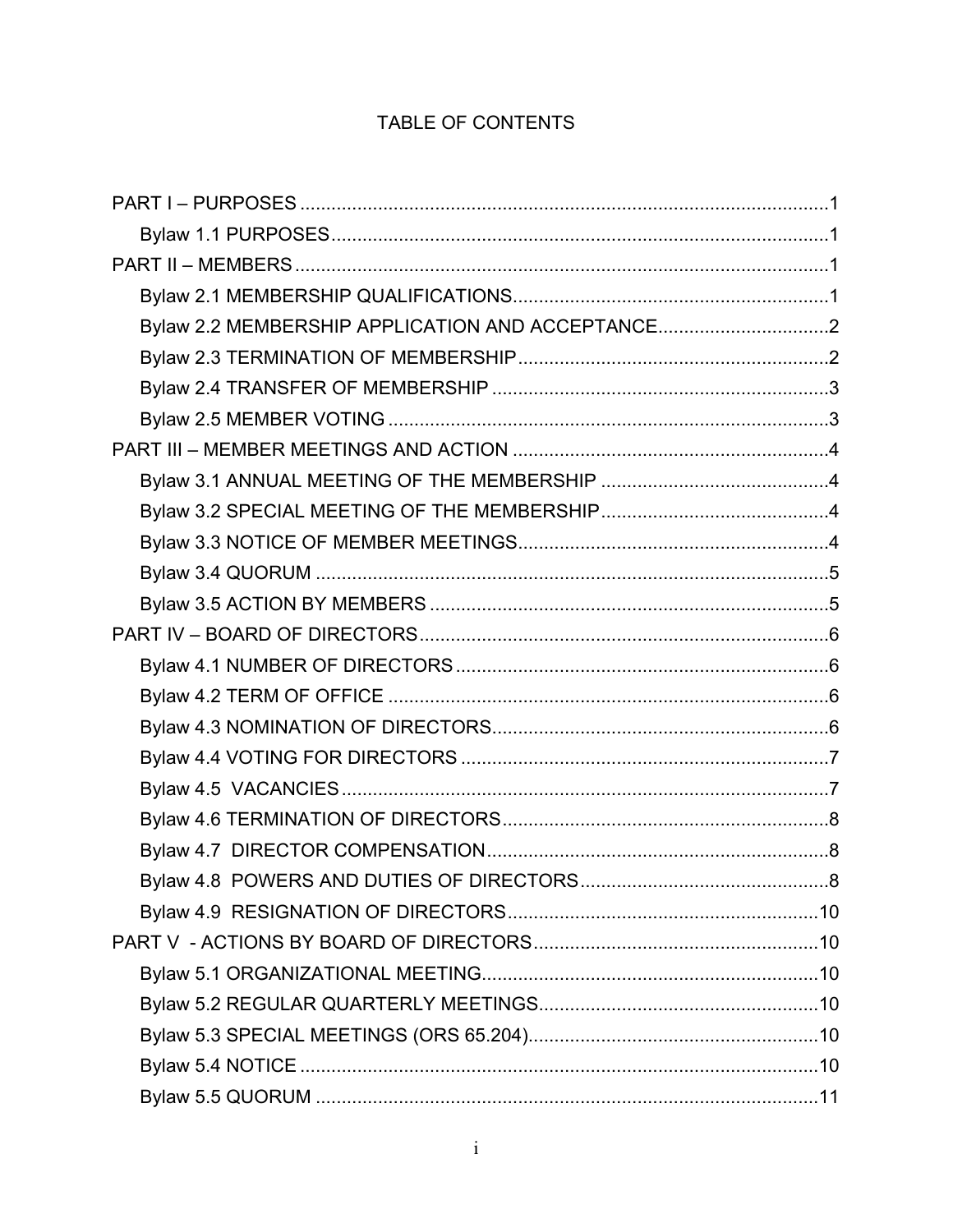### TABLE OF CONTENTS

| Bylaw 2.2 MEMBERSHIP APPLICATION AND ACCEPTANCE2 |  |
|--------------------------------------------------|--|
|                                                  |  |
|                                                  |  |
|                                                  |  |
|                                                  |  |
|                                                  |  |
|                                                  |  |
|                                                  |  |
|                                                  |  |
|                                                  |  |
|                                                  |  |
|                                                  |  |
|                                                  |  |
|                                                  |  |
|                                                  |  |
|                                                  |  |
|                                                  |  |
|                                                  |  |
|                                                  |  |
|                                                  |  |
|                                                  |  |
|                                                  |  |
|                                                  |  |
|                                                  |  |
|                                                  |  |
|                                                  |  |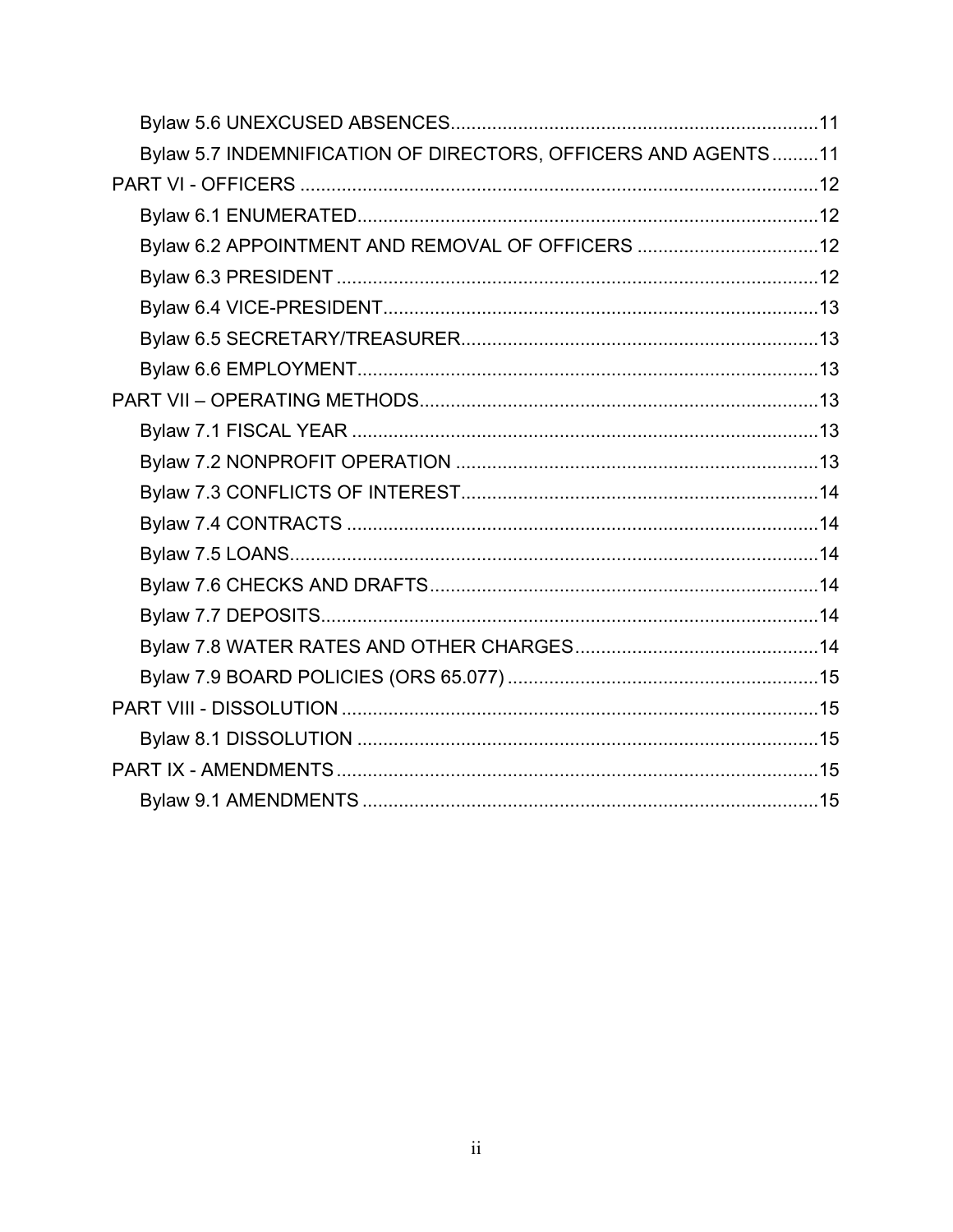| Bylaw 5.7 INDEMNIFICATION OF DIRECTORS, OFFICERS AND AGENTS11 |  |
|---------------------------------------------------------------|--|
|                                                               |  |
|                                                               |  |
| Bylaw 6.2 APPOINTMENT AND REMOVAL OF OFFICERS 12              |  |
|                                                               |  |
|                                                               |  |
|                                                               |  |
|                                                               |  |
|                                                               |  |
|                                                               |  |
|                                                               |  |
|                                                               |  |
|                                                               |  |
|                                                               |  |
|                                                               |  |
|                                                               |  |
|                                                               |  |
|                                                               |  |
|                                                               |  |
|                                                               |  |
|                                                               |  |
|                                                               |  |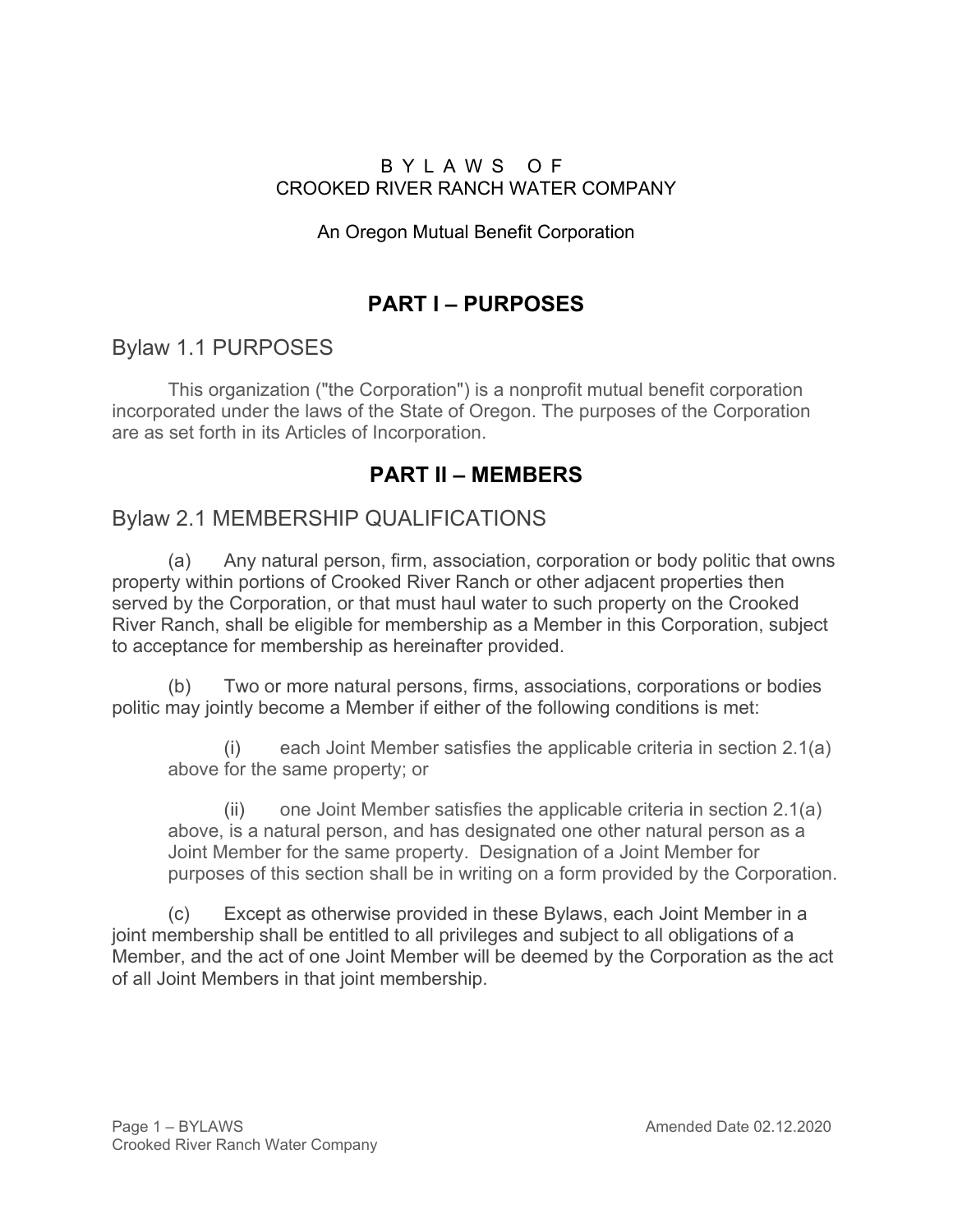#### B Y L A W S O F CROOKED RIVER RANCH WATER COMPANY

#### An Oregon Mutual Benefit Corporation

# **PART I – PURPOSES**

## Bylaw 1.1 PURPOSES

This organization ("the Corporation") is a nonprofit mutual benefit corporation incorporated under the laws of the State of Oregon. The purposes of the Corporation are as set forth in its Articles of Incorporation.

# **PART II – MEMBERS**

### Bylaw 2.1 MEMBERSHIP QUALIFICATIONS

(a) Any natural person, firm, association, corporation or body politic that owns property within portions of Crooked River Ranch or other adjacent properties then served by the Corporation, or that must haul water to such property on the Crooked River Ranch, shall be eligible for membership as a Member in this Corporation, subject to acceptance for membership as hereinafter provided.

(b) Two or more natural persons, firms, associations, corporations or bodies politic may jointly become a Member if either of the following conditions is met:

each Joint Member satisfies the applicable criteria in section 2.1(a) above for the same property; or

(ii) one Joint Member satisfies the applicable criteria in section 2.1(a) above, is a natural person, and has designated one other natural person as a Joint Member for the same property. Designation of a Joint Member for purposes of this section shall be in writing on a form provided by the Corporation.

(c) Except as otherwise provided in these Bylaws, each Joint Member in a joint membership shall be entitled to all privileges and subject to all obligations of a Member, and the act of one Joint Member will be deemed by the Corporation as the act of all Joint Members in that joint membership.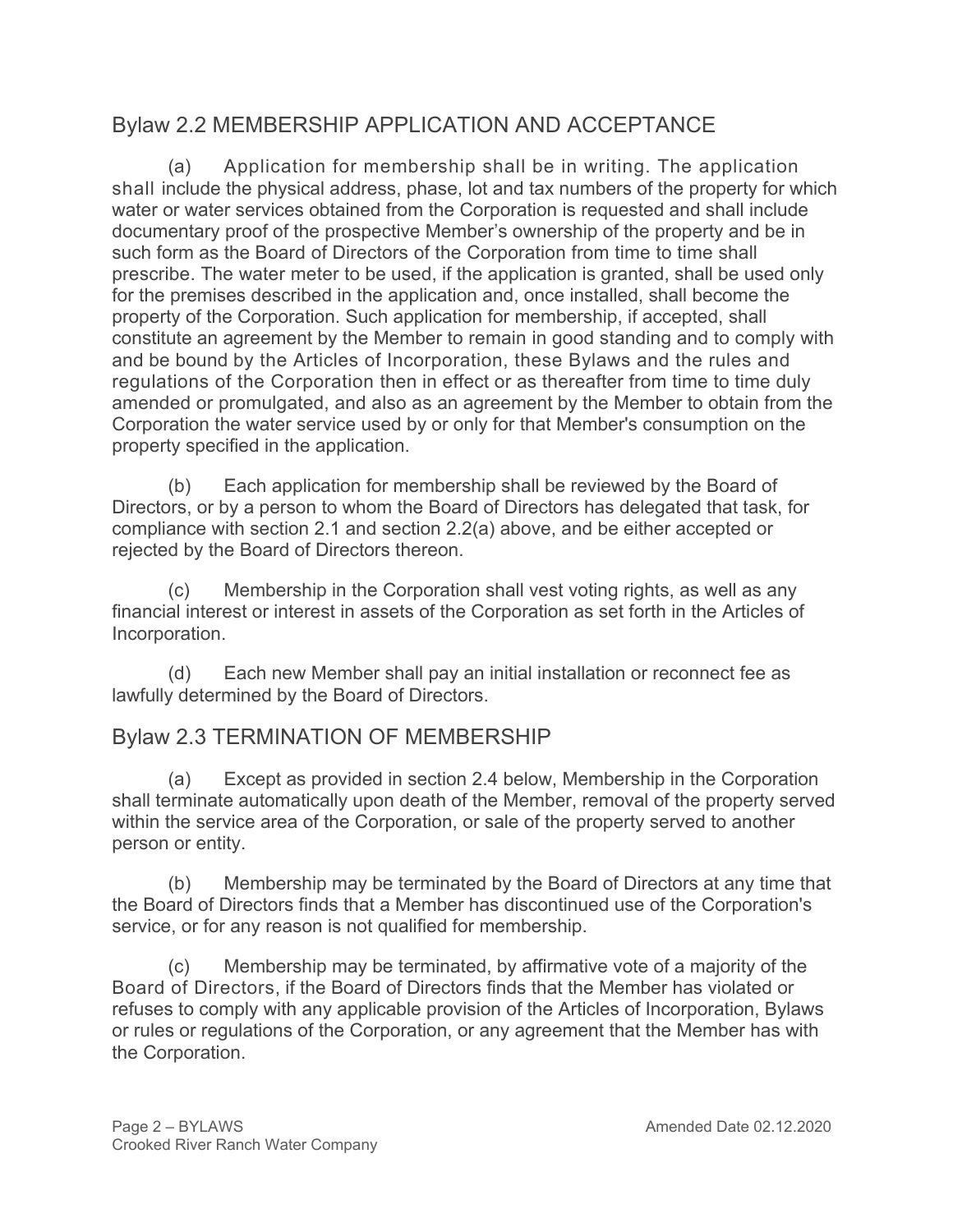# Bylaw 2.2 MEMBERSHIP APPLICATION AND ACCEPTANCE

(a) Application for membership shall be in writing. The application shall include the physical address, phase, lot and tax numbers of the property for which water or water services obtained from the Corporation is requested and shall include documentary proof of the prospective Member's ownership of the property and be in such form as the Board of Directors of the Corporation from time to time shall prescribe. The water meter to be used, if the application is granted, shall be used only for the premises described in the application and, once installed, shall become the property of the Corporation. Such application for membership, if accepted, shall constitute an agreement by the Member to remain in good standing and to comply with and be bound by the Articles of Incorporation, these Bylaws and the rules and regulations of the Corporation then in effect or as thereafter from time to time duly amended or promulgated, and also as an agreement by the Member to obtain from the Corporation the water service used by or only for that Member's consumption on the property specified in the application.

(b) Each application for membership shall be reviewed by the Board of Directors, or by a person to whom the Board of Directors has delegated that task, for compliance with section 2.1 and section 2.2(a) above, and be either accepted or rejected by the Board of Directors thereon.

(c) Membership in the Corporation shall vest voting rights, as well as any financial interest or interest in assets of the Corporation as set forth in the Articles of Incorporation.

(d) Each new Member shall pay an initial installation or reconnect fee as lawfully determined by the Board of Directors.

# Bylaw 2.3 TERMINATION OF MEMBERSHIP

(a) Except as provided in section 2.4 below, Membership in the Corporation shall terminate automatically upon death of the Member, removal of the property served within the service area of the Corporation, or sale of the property served to another person or entity.

(b) Membership may be terminated by the Board of Directors at any time that the Board of Directors finds that a Member has discontinued use of the Corporation's service, or for any reason is not qualified for membership.

(c) Membership may be terminated, by affirmative vote of a majority of the Board of Directors, if the Board of Directors finds that the Member has violated or refuses to comply with any applicable provision of the Articles of Incorporation, Bylaws or rules or regulations of the Corporation, or any agreement that the Member has with the Corporation.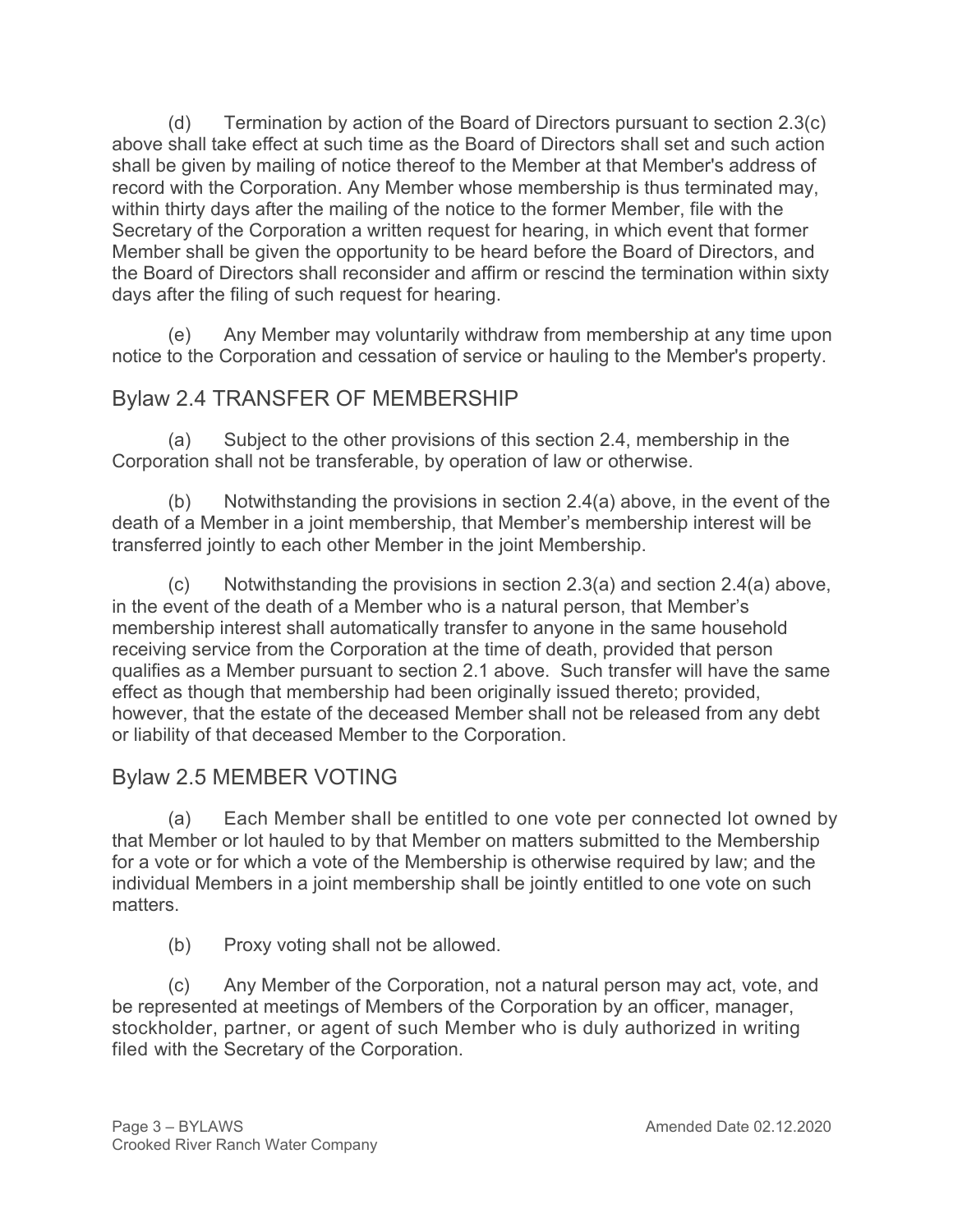(d) Termination by action of the Board of Directors pursuant to section 2.3(c) above shall take effect at such time as the Board of Directors shall set and such action shall be given by mailing of notice thereof to the Member at that Member's address of record with the Corporation. Any Member whose membership is thus terminated may, within thirty days after the mailing of the notice to the former Member, file with the Secretary of the Corporation a written request for hearing, in which event that former Member shall be given the opportunity to be heard before the Board of Directors, and the Board of Directors shall reconsider and affirm or rescind the termination within sixty days after the filing of such request for hearing.

(e) Any Member may voluntarily withdraw from membership at any time upon notice to the Corporation and cessation of service or hauling to the Member's property.

## Bylaw 2.4 TRANSFER OF MEMBERSHIP

(a) Subject to the other provisions of this section 2.4, membership in the Corporation shall not be transferable, by operation of law or otherwise.

(b) Notwithstanding the provisions in section  $2.4(a)$  above, in the event of the death of a Member in a joint membership, that Member's membership interest will be transferred jointly to each other Member in the joint Membership.

 $(c)$  Notwithstanding the provisions in section 2.3(a) and section 2.4(a) above, in the event of the death of a Member who is a natural person, that Member's membership interest shall automatically transfer to anyone in the same household receiving service from the Corporation at the time of death, provided that person qualifies as a Member pursuant to section 2.1 above. Such transfer will have the same effect as though that membership had been originally issued thereto; provided, however, that the estate of the deceased Member shall not be released from any debt or liability of that deceased Member to the Corporation.

# Bylaw 2.5 MEMBER VOTING

(a) Each Member shall be entitled to one vote per connected lot owned by that Member or lot hauled to by that Member on matters submitted to the Membership for a vote or for which a vote of the Membership is otherwise required by law; and the individual Members in a joint membership shall be jointly entitled to one vote on such matters.

(b) Proxy voting shall not be allowed.

(c) Any Member of the Corporation, not a natural person may act, vote, and be represented at meetings of Members of the Corporation by an officer, manager, stockholder, partner, or agent of such Member who is duly authorized in writing filed with the Secretary of the Corporation.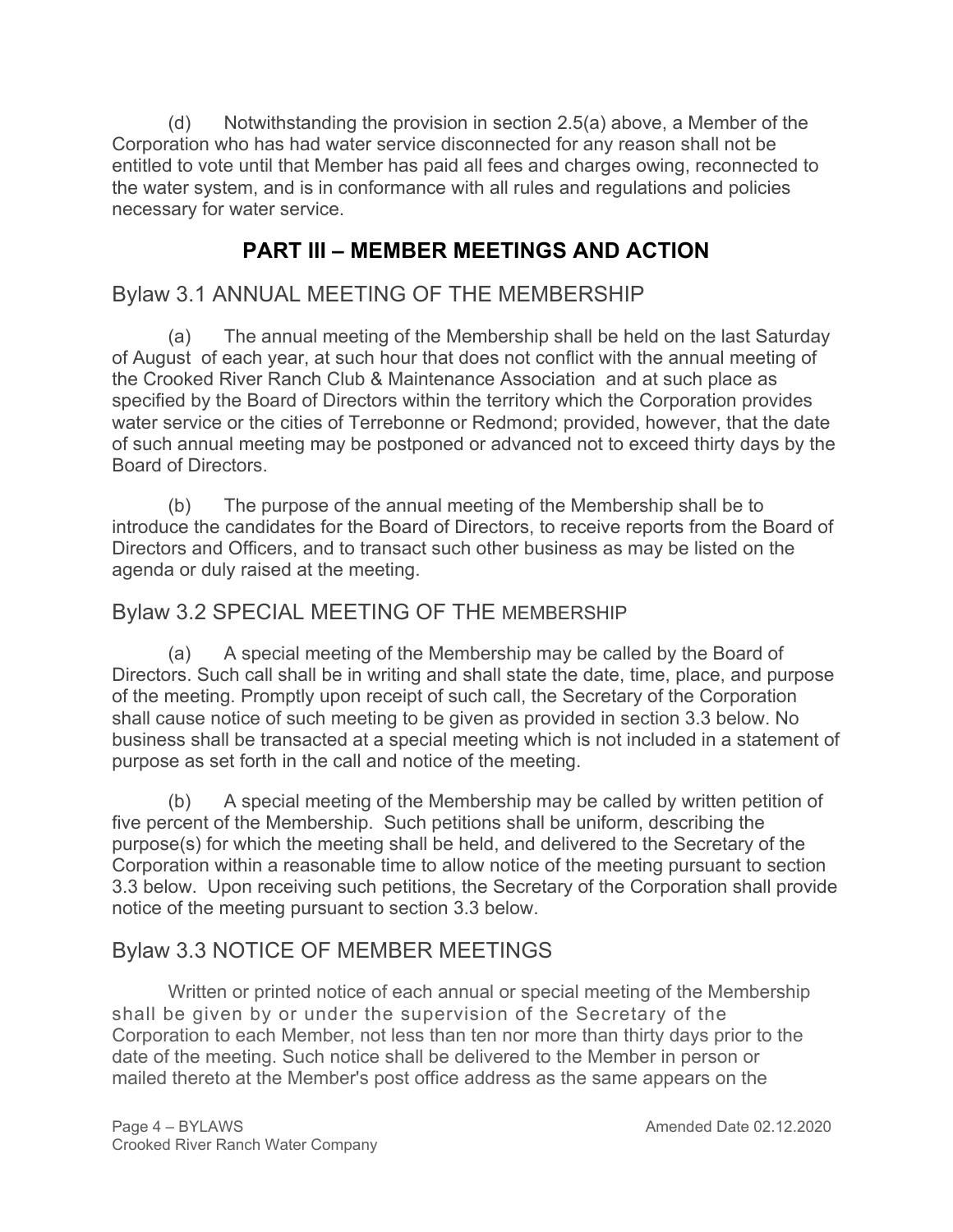(d) Notwithstanding the provision in section 2.5(a) above, a Member of the Corporation who has had water service disconnected for any reason shall not be entitled to vote until that Member has paid all fees and charges owing, reconnected to the water system, and is in conformance with all rules and regulations and policies necessary for water service.

# **PART III – MEMBER MEETINGS AND ACTION**

### Bylaw 3.1 ANNUAL MEETING OF THE MEMBERSHIP

(a) The annual meeting of the Membership shall be held on the last Saturday of August of each year, at such hour that does not conflict with the annual meeting of the Crooked River Ranch Club & Maintenance Association and at such place as specified by the Board of Directors within the territory which the Corporation provides water service or the cities of Terrebonne or Redmond; provided, however, that the date of such annual meeting may be postponed or advanced not to exceed thirty days by the Board of Directors.

(b) The purpose of the annual meeting of the Membership shall be to introduce the candidates for the Board of Directors, to receive reports from the Board of Directors and Officers, and to transact such other business as may be listed on the agenda or duly raised at the meeting.

### Bylaw 3.2 SPECIAL MEETING OF THE MEMBERSHIP

(a) A special meeting of the Membership may be called by the Board of Directors. Such call shall be in writing and shall state the date, time, place, and purpose of the meeting. Promptly upon receipt of such call, the Secretary of the Corporation shall cause notice of such meeting to be given as provided in section 3.3 below. No business shall be transacted at a special meeting which is not included in a statement of purpose as set forth in the call and notice of the meeting.

(b) A special meeting of the Membership may be called by written petition of five percent of the Membership. Such petitions shall be uniform, describing the purpose(s) for which the meeting shall be held, and delivered to the Secretary of the Corporation within a reasonable time to allow notice of the meeting pursuant to section 3.3 below. Upon receiving such petitions, the Secretary of the Corporation shall provide notice of the meeting pursuant to section 3.3 below.

### Bylaw 3.3 NOTICE OF MEMBER MEETINGS

Written or printed notice of each annual or special meeting of the Membership shall be given by or under the supervision of the Secretary of the Corporation to each Member, not less than ten nor more than thirty days prior to the date of the meeting. Such notice shall be delivered to the Member in person or mailed thereto at the Member's post office address as the same appears on the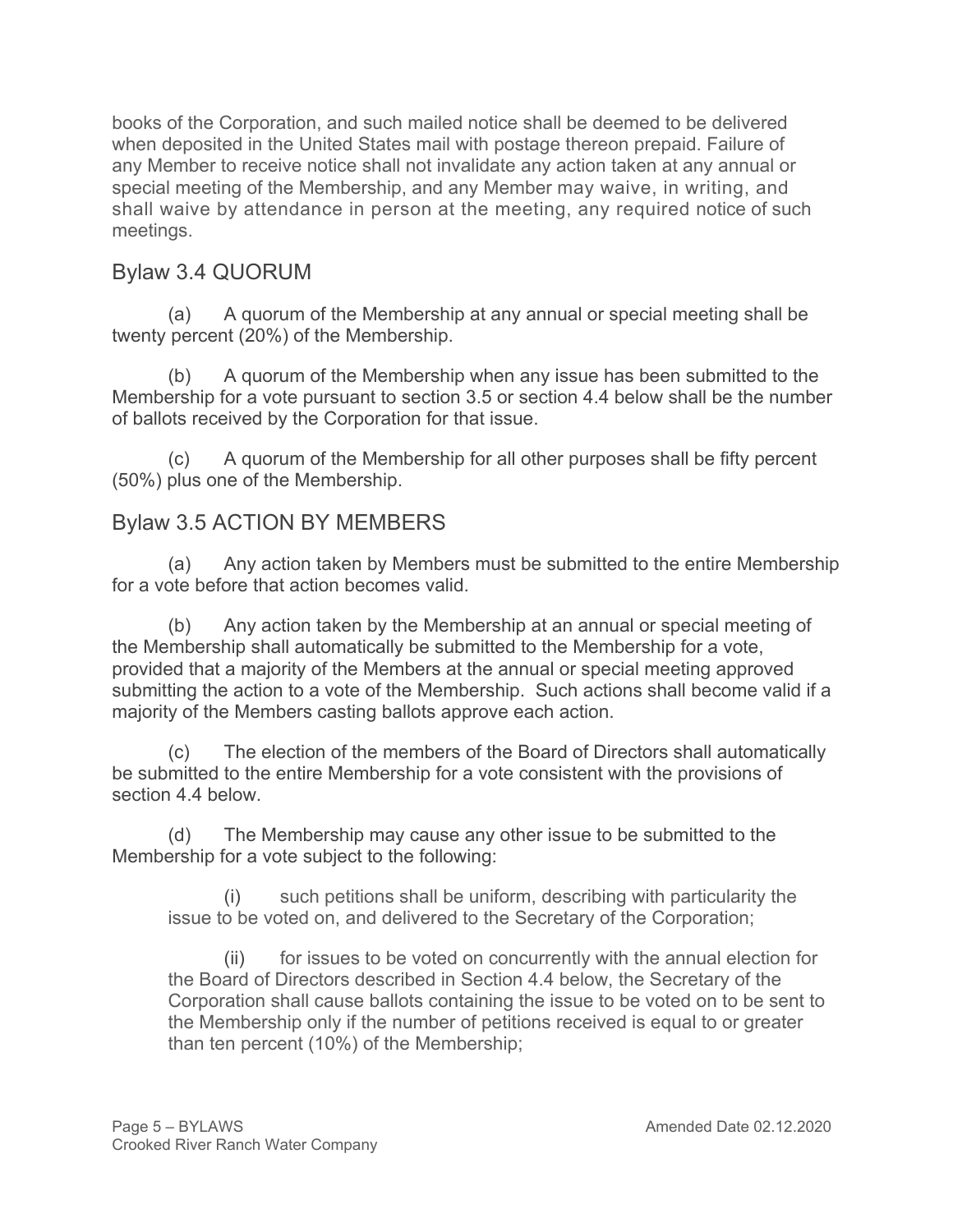books of the Corporation, and such mailed notice shall be deemed to be delivered when deposited in the United States mail with postage thereon prepaid. Failure of any Member to receive notice shall not invalidate any action taken at any annual or special meeting of the Membership, and any Member may waive, in writing, and shall waive by attendance in person at the meeting, any required notice of such meetings.

# Bylaw 3.4 QUORUM

(a) A quorum of the Membership at any annual or special meeting shall be twenty percent (20%) of the Membership.

(b) A quorum of the Membership when any issue has been submitted to the Membership for a vote pursuant to section 3.5 or section 4.4 below shall be the number of ballots received by the Corporation for that issue.

(c) A quorum of the Membership for all other purposes shall be fifty percent (50%) plus one of the Membership.

### Bylaw 3.5 ACTION BY MEMBERS

(a) Any action taken by Members must be submitted to the entire Membership for a vote before that action becomes valid.

(b) Any action taken by the Membership at an annual or special meeting of the Membership shall automatically be submitted to the Membership for a vote, provided that a majority of the Members at the annual or special meeting approved submitting the action to a vote of the Membership. Such actions shall become valid if a majority of the Members casting ballots approve each action.

(c) The election of the members of the Board of Directors shall automatically be submitted to the entire Membership for a vote consistent with the provisions of section 4.4 below.

(d) The Membership may cause any other issue to be submitted to the Membership for a vote subject to the following:

(i) such petitions shall be uniform, describing with particularity the issue to be voted on, and delivered to the Secretary of the Corporation;

(ii) for issues to be voted on concurrently with the annual election for the Board of Directors described in Section 4.4 below, the Secretary of the Corporation shall cause ballots containing the issue to be voted on to be sent to the Membership only if the number of petitions received is equal to or greater than ten percent (10%) of the Membership;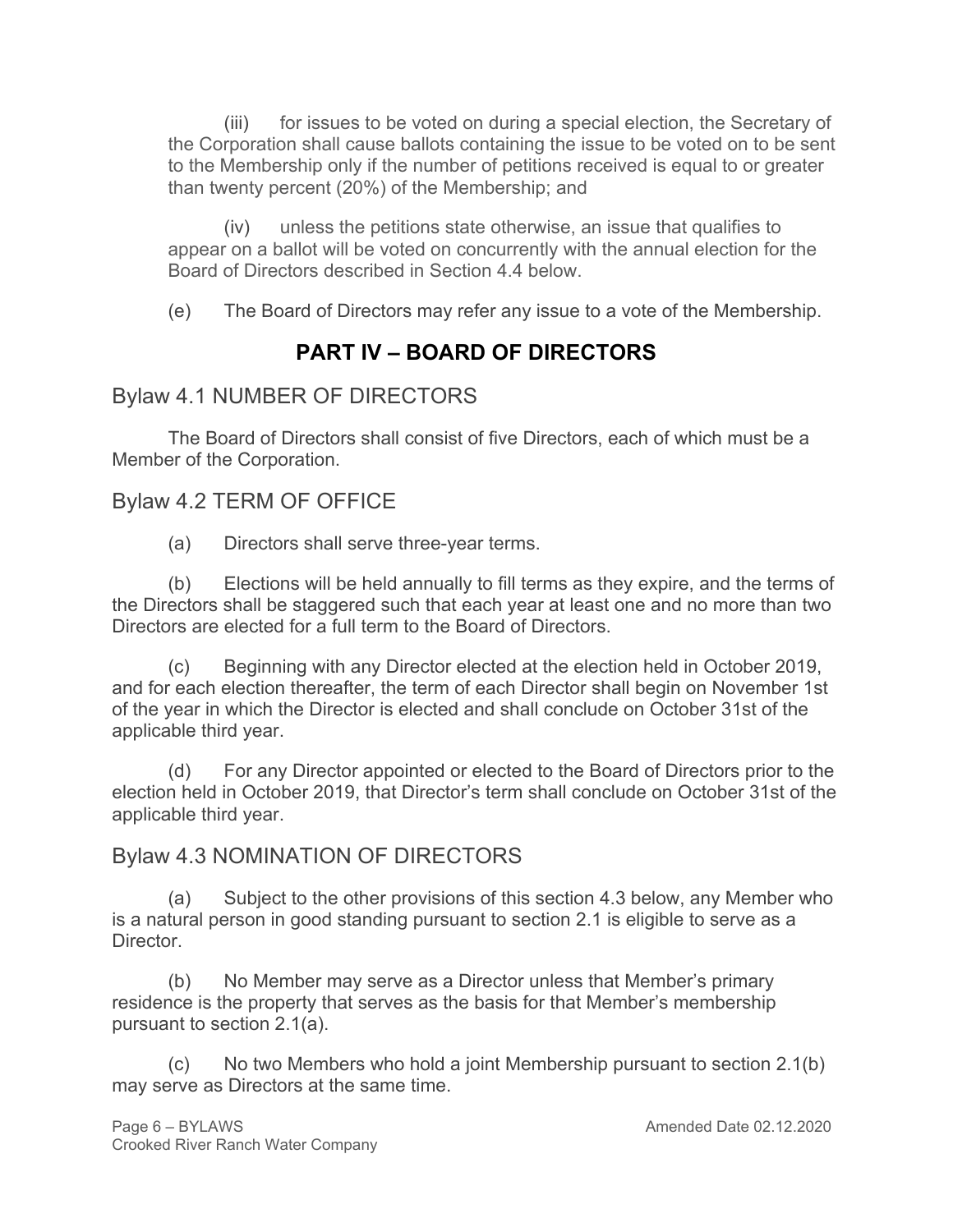(iii) for issues to be voted on during a special election, the Secretary of the Corporation shall cause ballots containing the issue to be voted on to be sent to the Membership only if the number of petitions received is equal to or greater than twenty percent (20%) of the Membership; and

(iv) unless the petitions state otherwise, an issue that qualifies to appear on a ballot will be voted on concurrently with the annual election for the Board of Directors described in Section 4.4 below.

(e) The Board of Directors may refer any issue to a vote of the Membership.

# **PART IV – BOARD OF DIRECTORS**

## Bylaw 4.1 NUMBER OF DIRECTORS

The Board of Directors shall consist of five Directors, each of which must be a Member of the Corporation.

### Bylaw 4.2 TERM OF OFFICE

(a) Directors shall serve three-year terms.

(b) Elections will be held annually to fill terms as they expire, and the terms of the Directors shall be staggered such that each year at least one and no more than two Directors are elected for a full term to the Board of Directors.

(c) Beginning with any Director elected at the election held in October 2019, and for each election thereafter, the term of each Director shall begin on November 1st of the year in which the Director is elected and shall conclude on October 31st of the applicable third year.

(d) For any Director appointed or elected to the Board of Directors prior to the election held in October 2019, that Director's term shall conclude on October 31st of the applicable third year.

### Bylaw 4.3 NOMINATION OF DIRECTORS

(a) Subject to the other provisions of this section 4.3 below, any Member who is a natural person in good standing pursuant to section 2.1 is eligible to serve as a Director.

(b) No Member may serve as a Director unless that Member's primary residence is the property that serves as the basis for that Member's membership pursuant to section 2.1(a).

 $(c)$  No two Members who hold a joint Membership pursuant to section 2.1(b) may serve as Directors at the same time.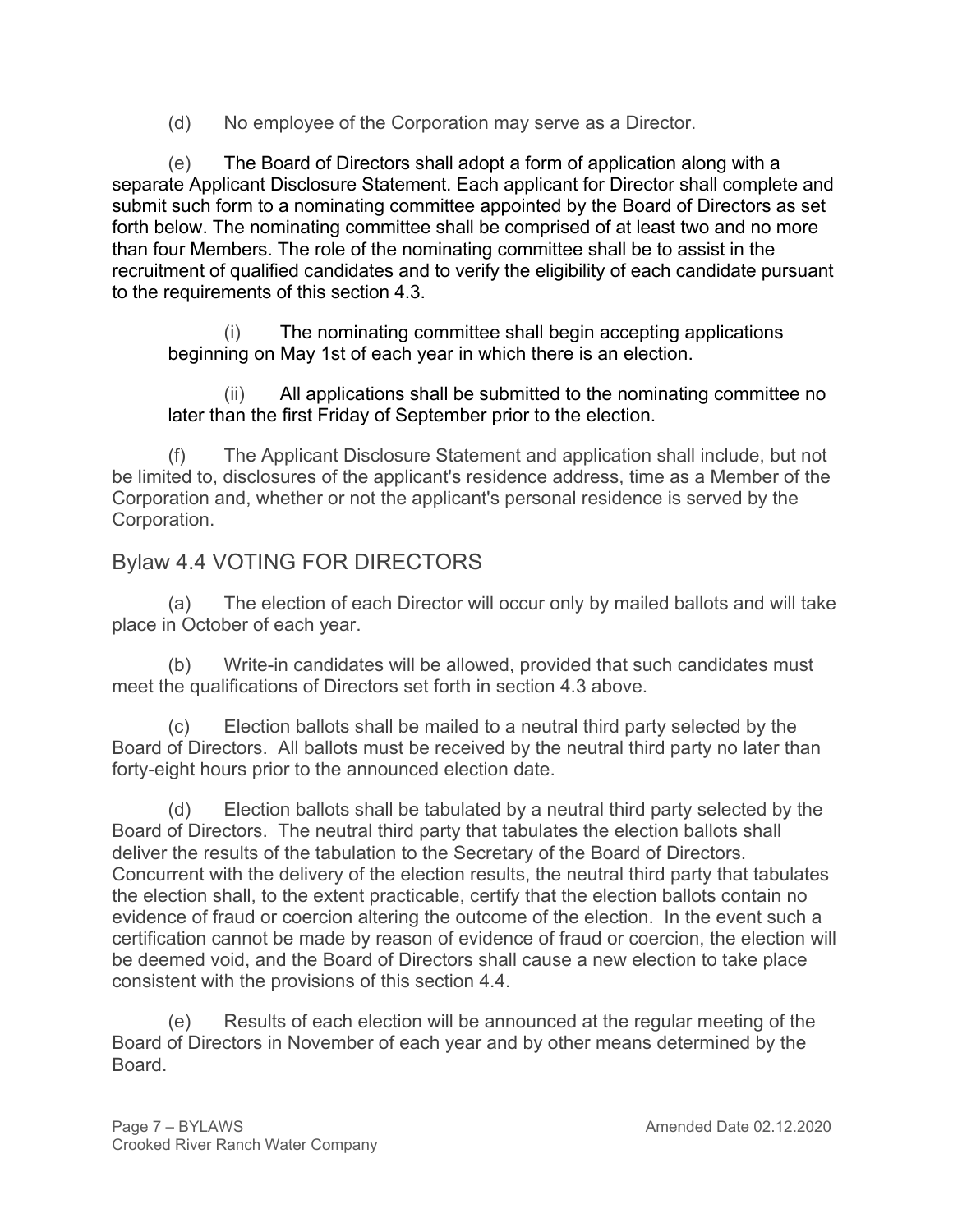(d) No employee of the Corporation may serve as a Director.

(e) The Board of Directors shall adopt a form of application along with a separate Applicant Disclosure Statement. Each applicant for Director shall complete and submit such form to a nominating committee appointed by the Board of Directors as set forth below. The nominating committee shall be comprised of at least two and no more than four Members. The role of the nominating committee shall be to assist in the recruitment of qualified candidates and to verify the eligibility of each candidate pursuant to the requirements of this section 4.3.

(i) The nominating committee shall begin accepting applications beginning on May 1st of each year in which there is an election.

(ii) All applications shall be submitted to the nominating committee no later than the first Friday of September prior to the election.

(f) The Applicant Disclosure Statement and application shall include, but not be limited to, disclosures of the applicant's residence address, time as a Member of the Corporation and, whether or not the applicant's personal residence is served by the Corporation.

# Bylaw 4.4 VOTING FOR DIRECTORS

(a) The election of each Director will occur only by mailed ballots and will take place in October of each year.

(b) Write-in candidates will be allowed, provided that such candidates must meet the qualifications of Directors set forth in section 4.3 above.

(c) Election ballots shall be mailed to a neutral third party selected by the Board of Directors. All ballots must be received by the neutral third party no later than forty-eight hours prior to the announced election date.

(d) Election ballots shall be tabulated by a neutral third party selected by the Board of Directors. The neutral third party that tabulates the election ballots shall deliver the results of the tabulation to the Secretary of the Board of Directors. Concurrent with the delivery of the election results, the neutral third party that tabulates the election shall, to the extent practicable, certify that the election ballots contain no evidence of fraud or coercion altering the outcome of the election. In the event such a certification cannot be made by reason of evidence of fraud or coercion, the election will be deemed void, and the Board of Directors shall cause a new election to take place consistent with the provisions of this section 4.4.

(e) Results of each election will be announced at the regular meeting of the Board of Directors in November of each year and by other means determined by the Board.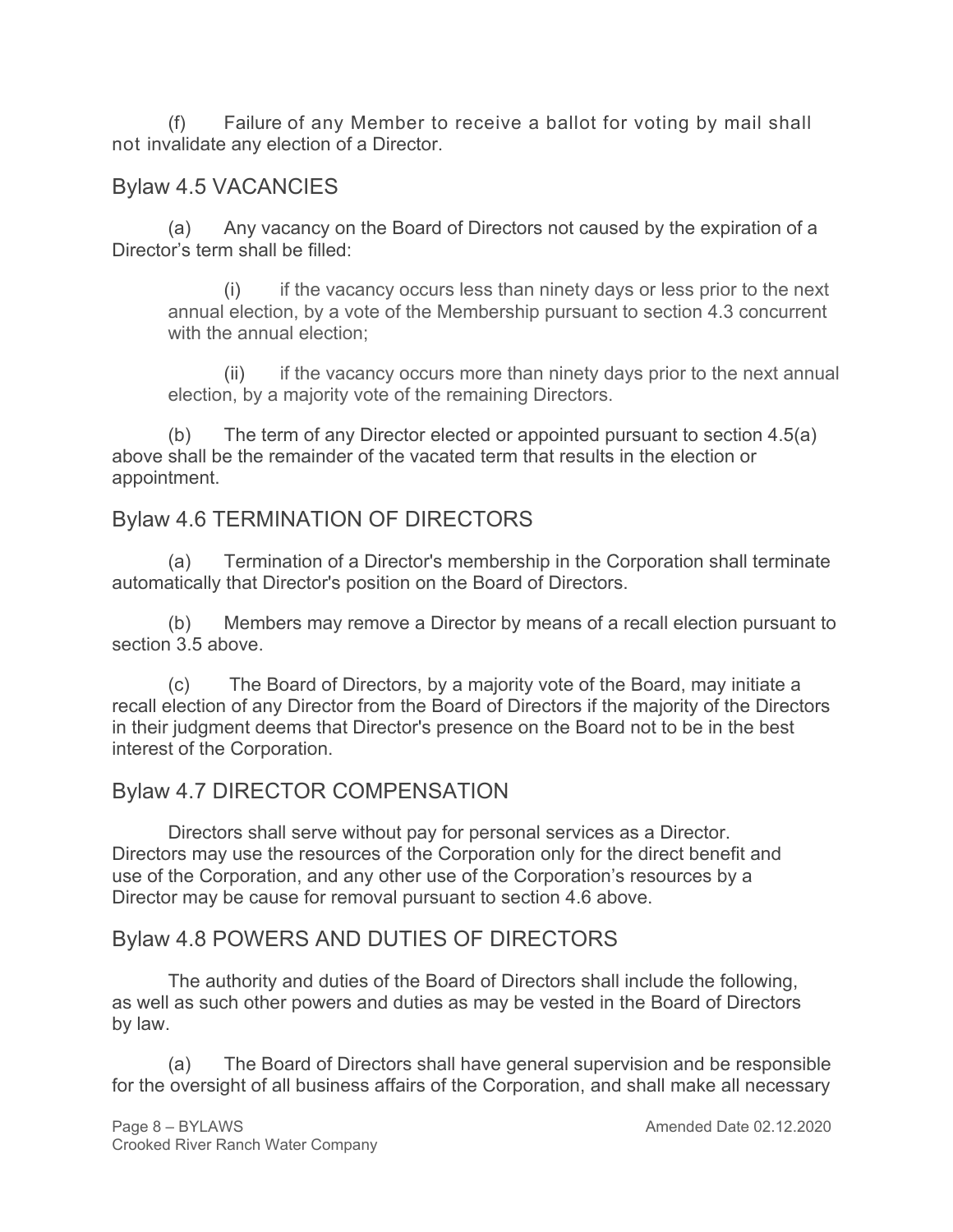(f) Failure of any Member to receive a ballot for voting by mail shall not invalidate any election of a Director.

## Bylaw 4.5 VACANCIES

(a) Any vacancy on the Board of Directors not caused by the expiration of a Director's term shall be filled:

(i) if the vacancy occurs less than ninety days or less prior to the next annual election, by a vote of the Membership pursuant to section 4.3 concurrent with the annual election;

(ii) if the vacancy occurs more than ninety days prior to the next annual election, by a majority vote of the remaining Directors.

(b) The term of any Director elected or appointed pursuant to section 4.5(a) above shall be the remainder of the vacated term that results in the election or appointment.

# Bylaw 4.6 TERMINATION OF DIRECTORS

(a) Termination of a Director's membership in the Corporation shall terminate automatically that Director's position on the Board of Directors.

(b) Members may remove a Director by means of a recall election pursuant to section 3.5 above.

(c) The Board of Directors, by a majority vote of the Board, may initiate a recall election of any Director from the Board of Directors if the majority of the Directors in their judgment deems that Director's presence on the Board not to be in the best interest of the Corporation.

# Bylaw 4.7 DIRECTOR COMPENSATION

Directors shall serve without pay for personal services as a Director. Directors may use the resources of the Corporation only for the direct benefit and use of the Corporation, and any other use of the Corporation's resources by a Director may be cause for removal pursuant to section 4.6 above.

# Bylaw 4.8 POWERS AND DUTIES OF DIRECTORS

The authority and duties of the Board of Directors shall include the following, as well as such other powers and duties as may be vested in the Board of Directors by law.

(a) The Board of Directors shall have general supervision and be responsible for the oversight of all business affairs of the Corporation, and shall make all necessary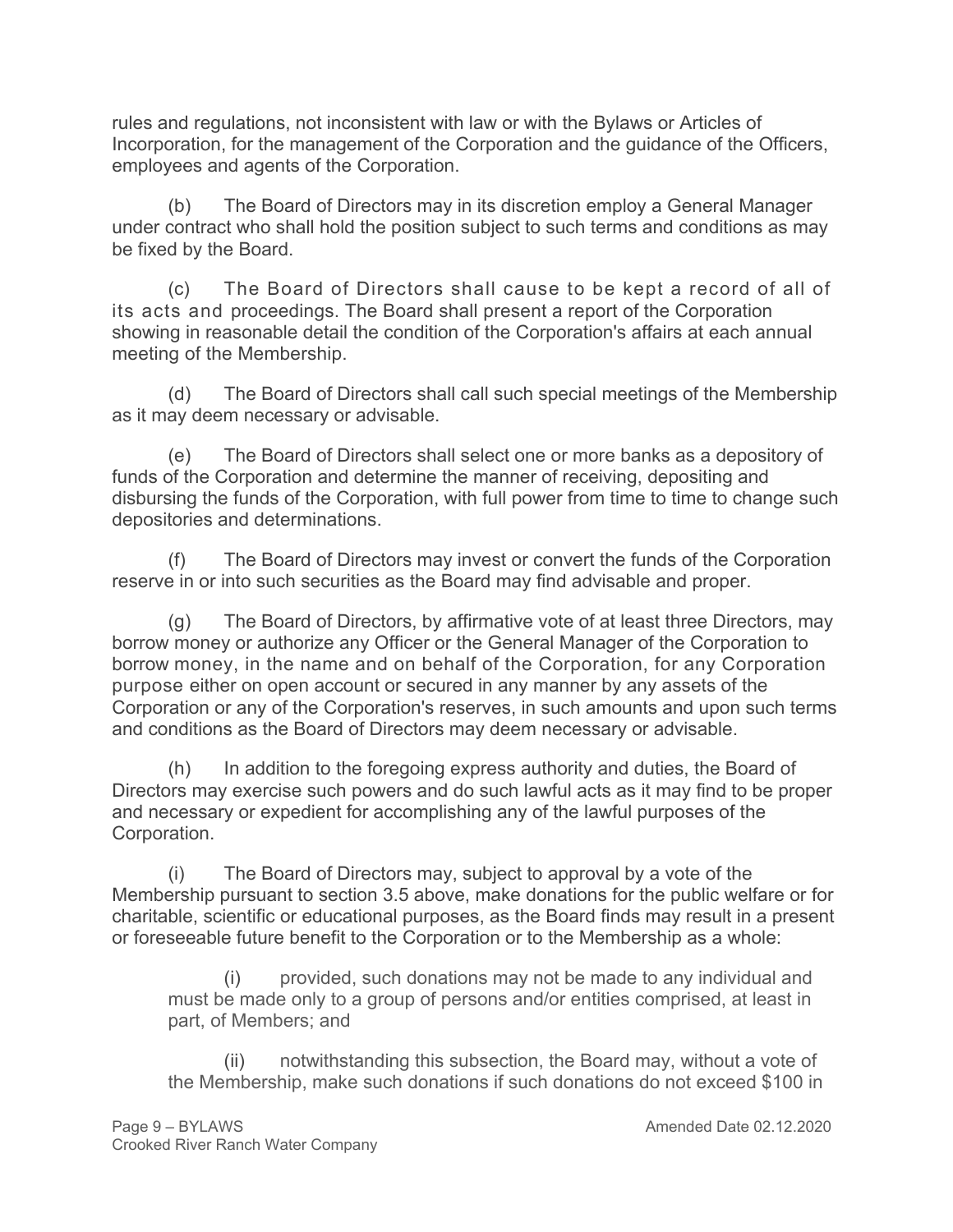rules and regulations, not inconsistent with law or with the Bylaws or Articles of Incorporation, for the management of the Corporation and the guidance of the Officers, employees and agents of the Corporation.

(b) The Board of Directors may in its discretion employ a General Manager under contract who shall hold the position subject to such terms and conditions as may be fixed by the Board.

(c) The Board of Directors shall cause to be kept a record of all of its acts and proceedings. The Board shall present a report of the Corporation showing in reasonable detail the condition of the Corporation's affairs at each annual meeting of the Membership.

(d) The Board of Directors shall call such special meetings of the Membership as it may deem necessary or advisable.

(e) The Board of Directors shall select one or more banks as a depository of funds of the Corporation and determine the manner of receiving, depositing and disbursing the funds of the Corporation, with full power from time to time to change such depositories and determinations.

(f) The Board of Directors may invest or convert the funds of the Corporation reserve in or into such securities as the Board may find advisable and proper.

(g) The Board of Directors, by affirmative vote of at least three Directors, may borrow money or authorize any Officer or the General Manager of the Corporation to borrow money, in the name and on behalf of the Corporation, for any Corporation purpose either on open account or secured in any manner by any assets of the Corporation or any of the Corporation's reserves, in such amounts and upon such terms and conditions as the Board of Directors may deem necessary or advisable.

(h) In addition to the foregoing express authority and duties, the Board of Directors may exercise such powers and do such lawful acts as it may find to be proper and necessary or expedient for accomplishing any of the lawful purposes of the Corporation.

(i) The Board of Directors may, subject to approval by a vote of the Membership pursuant to section 3.5 above, make donations for the public welfare or for charitable, scientific or educational purposes, as the Board finds may result in a present or foreseeable future benefit to the Corporation or to the Membership as a whole:

provided, such donations may not be made to any individual and must be made only to a group of persons and/or entities comprised, at least in part, of Members; and

(ii) notwithstanding this subsection, the Board may, without a vote of the Membership, make such donations if such donations do not exceed \$100 in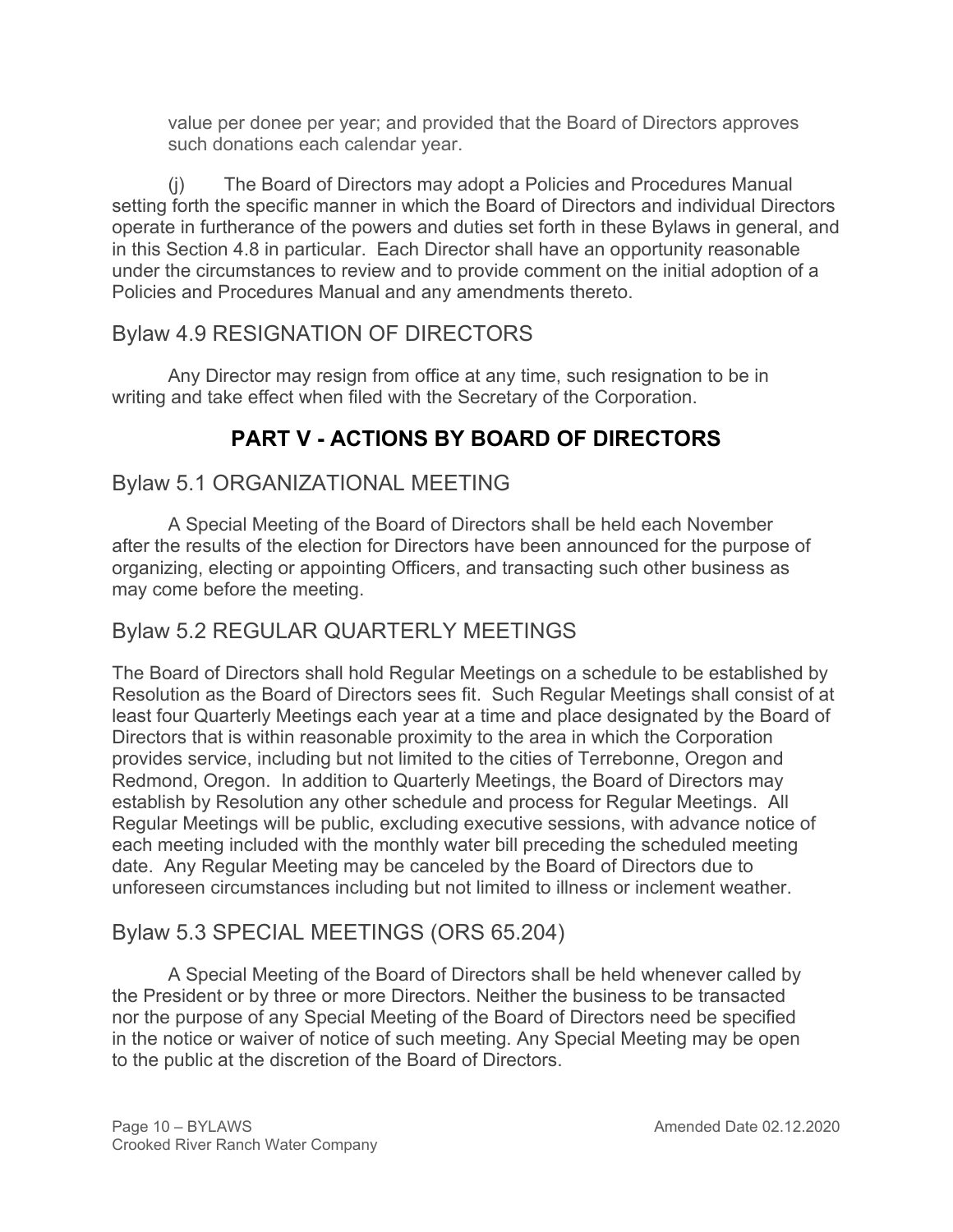value per donee per year; and provided that the Board of Directors approves such donations each calendar year.

(j) The Board of Directors may adopt a Policies and Procedures Manual setting forth the specific manner in which the Board of Directors and individual Directors operate in furtherance of the powers and duties set forth in these Bylaws in general, and in this Section 4.8 in particular. Each Director shall have an opportunity reasonable under the circumstances to review and to provide comment on the initial adoption of a Policies and Procedures Manual and any amendments thereto.

# Bylaw 4.9 RESIGNATION OF DIRECTORS

Any Director may resign from office at any time, such resignation to be in writing and take effect when filed with the Secretary of the Corporation.

# **PART V - ACTIONS BY BOARD OF DIRECTORS**

# Bylaw 5.1 ORGANIZATIONAL MEETING

A Special Meeting of the Board of Directors shall be held each November after the results of the election for Directors have been announced for the purpose of organizing, electing or appointing Officers, and transacting such other business as may come before the meeting.

# Bylaw 5.2 REGULAR QUARTERLY MEETINGS

The Board of Directors shall hold Regular Meetings on a schedule to be established by Resolution as the Board of Directors sees fit. Such Regular Meetings shall consist of at least four Quarterly Meetings each year at a time and place designated by the Board of Directors that is within reasonable proximity to the area in which the Corporation provides service, including but not limited to the cities of Terrebonne, Oregon and Redmond, Oregon. In addition to Quarterly Meetings, the Board of Directors may establish by Resolution any other schedule and process for Regular Meetings. All Regular Meetings will be public, excluding executive sessions, with advance notice of each meeting included with the monthly water bill preceding the scheduled meeting date. Any Regular Meeting may be canceled by the Board of Directors due to unforeseen circumstances including but not limited to illness or inclement weather.

# Bylaw 5.3 SPECIAL MEETINGS (ORS 65.204)

A Special Meeting of the Board of Directors shall be held whenever called by the President or by three or more Directors. Neither the business to be transacted nor the purpose of any Special Meeting of the Board of Directors need be specified in the notice or waiver of notice of such meeting. Any Special Meeting may be open to the public at the discretion of the Board of Directors.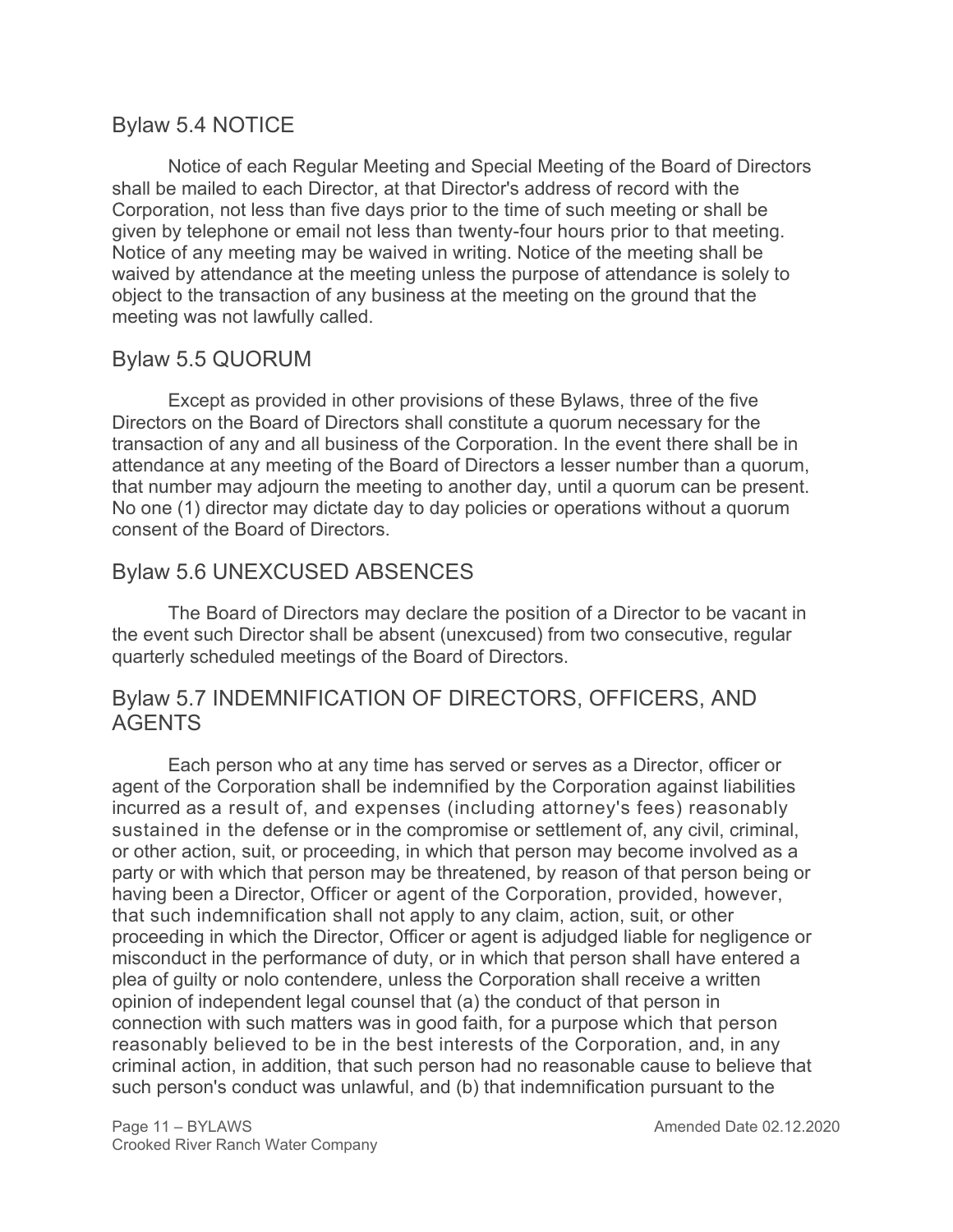### Bylaw 5.4 NOTICE

Notice of each Regular Meeting and Special Meeting of the Board of Directors shall be mailed to each Director, at that Director's address of record with the Corporation, not less than five days prior to the time of such meeting or shall be given by telephone or email not less than twenty-four hours prior to that meeting. Notice of any meeting may be waived in writing. Notice of the meeting shall be waived by attendance at the meeting unless the purpose of attendance is solely to object to the transaction of any business at the meeting on the ground that the meeting was not lawfully called.

### Bylaw 5.5 QUORUM

Except as provided in other provisions of these Bylaws, three of the five Directors on the Board of Directors shall constitute a quorum necessary for the transaction of any and all business of the Corporation. In the event there shall be in attendance at any meeting of the Board of Directors a lesser number than a quorum, that number may adjourn the meeting to another day, until a quorum can be present. No one (1) director may dictate day to day policies or operations without a quorum consent of the Board of Directors.

### Bylaw 5.6 UNEXCUSED ABSENCES

The Board of Directors may declare the position of a Director to be vacant in the event such Director shall be absent (unexcused) from two consecutive, regular quarterly scheduled meetings of the Board of Directors.

### Bylaw 5.7 INDEMNIFICATION OF DIRECTORS, OFFICERS, AND AGENTS

Each person who at any time has served or serves as a Director, officer or agent of the Corporation shall be indemnified by the Corporation against liabilities incurred as a result of, and expenses (including attorney's fees) reasonably sustained in the defense or in the compromise or settlement of, any civil, criminal, or other action, suit, or proceeding, in which that person may become involved as a party or with which that person may be threatened, by reason of that person being or having been a Director, Officer or agent of the Corporation, provided, however, that such indemnification shall not apply to any claim, action, suit, or other proceeding in which the Director, Officer or agent is adjudged liable for negligence or misconduct in the performance of duty, or in which that person shall have entered a plea of guilty or nolo contendere, unless the Corporation shall receive a written opinion of independent legal counsel that (a) the conduct of that person in connection with such matters was in good faith, for a purpose which that person reasonably believed to be in the best interests of the Corporation, and, in any criminal action, in addition, that such person had no reasonable cause to believe that such person's conduct was unlawful, and (b) that indemnification pursuant to the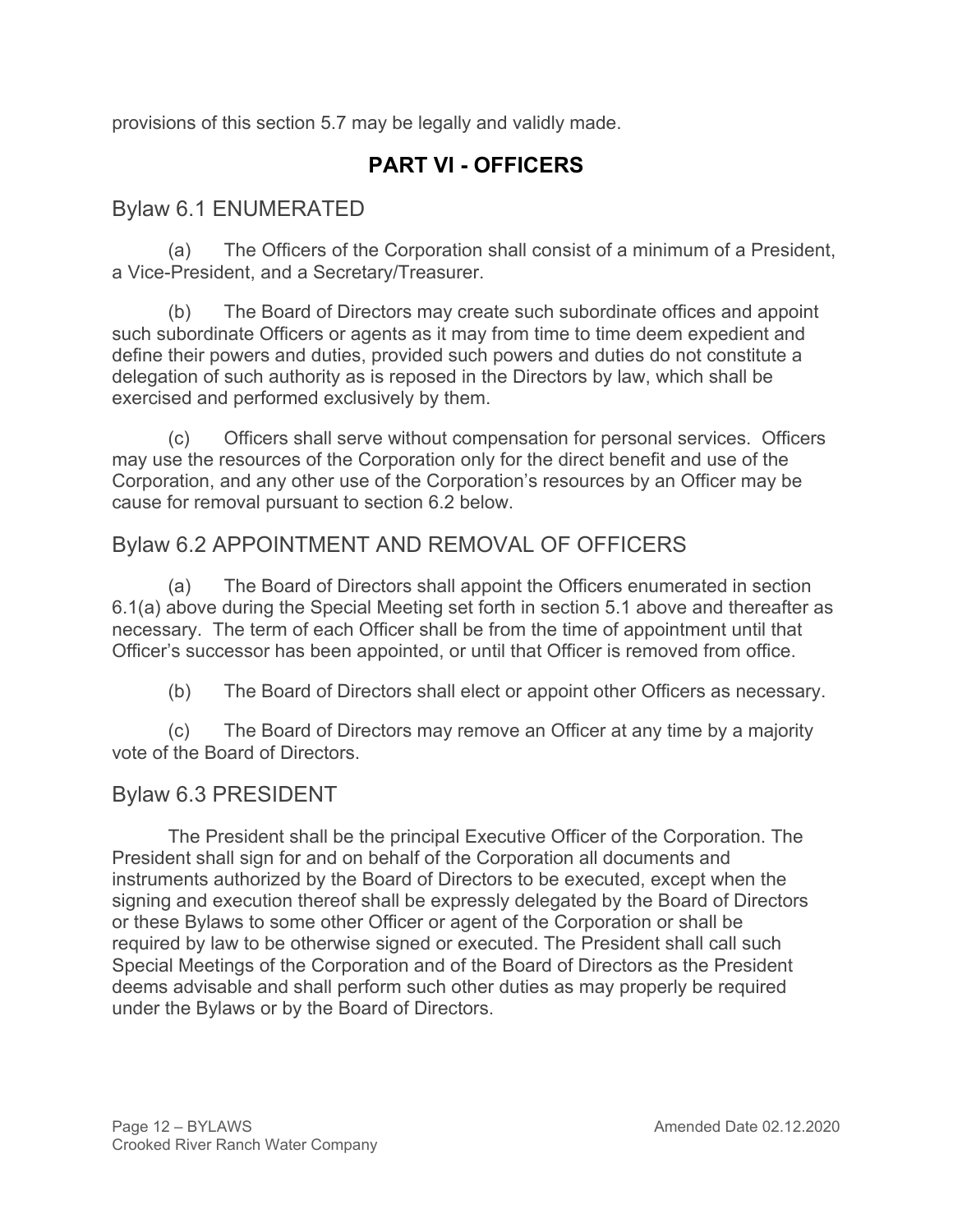provisions of this section 5.7 may be legally and validly made.

# **PART VI - OFFICERS**

# Bylaw 6.1 ENUMERATED

(a) The Officers of the Corporation shall consist of a minimum of a President, a Vice-President, and a Secretary/Treasurer.

(b) The Board of Directors may create such subordinate offices and appoint such subordinate Officers or agents as it may from time to time deem expedient and define their powers and duties, provided such powers and duties do not constitute a delegation of such authority as is reposed in the Directors by law, which shall be exercised and performed exclusively by them.

(c) Officers shall serve without compensation for personal services. Officers may use the resources of the Corporation only for the direct benefit and use of the Corporation, and any other use of the Corporation's resources by an Officer may be cause for removal pursuant to section 6.2 below.

# Bylaw 6.2 APPOINTMENT AND REMOVAL OF OFFICERS

(a) The Board of Directors shall appoint the Officers enumerated in section 6.1(a) above during the Special Meeting set forth in section 5.1 above and thereafter as necessary. The term of each Officer shall be from the time of appointment until that Officer's successor has been appointed, or until that Officer is removed from office.

(b) The Board of Directors shall elect or appoint other Officers as necessary.

(c) The Board of Directors may remove an Officer at any time by a majority vote of the Board of Directors.

### Bylaw 6.3 PRESIDENT

The President shall be the principal Executive Officer of the Corporation. The President shall sign for and on behalf of the Corporation all documents and instruments authorized by the Board of Directors to be executed, except when the signing and execution thereof shall be expressly delegated by the Board of Directors or these Bylaws to some other Officer or agent of the Corporation or shall be required by law to be otherwise signed or executed. The President shall call such Special Meetings of the Corporation and of the Board of Directors as the President deems advisable and shall perform such other duties as may properly be required under the Bylaws or by the Board of Directors.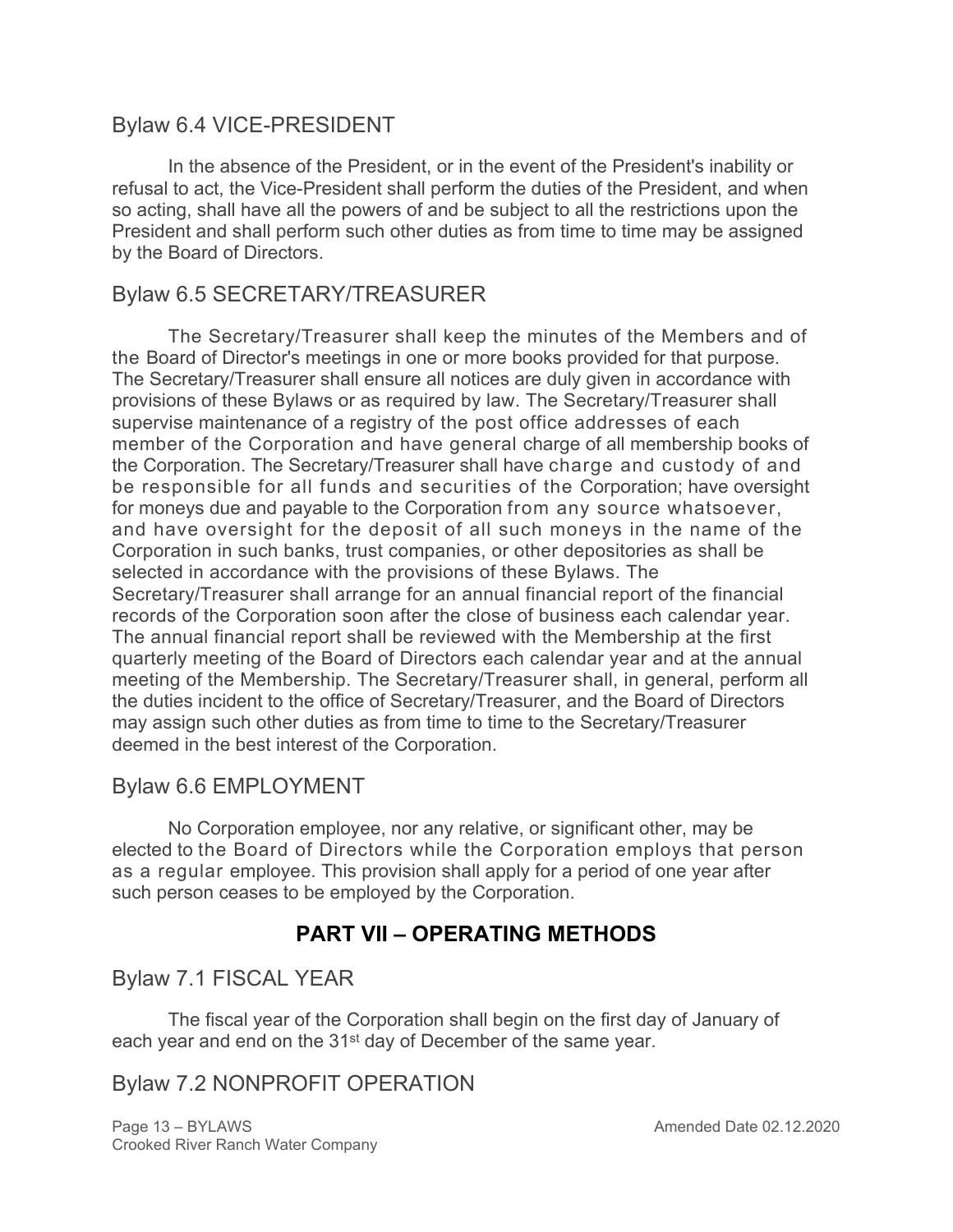### Bylaw 6.4 VICE-PRESIDENT

In the absence of the President, or in the event of the President's inability or refusal to act, the Vice-President shall perform the duties of the President, and when so acting, shall have all the powers of and be subject to all the restrictions upon the President and shall perform such other duties as from time to time may be assigned by the Board of Directors.

### Bylaw 6.5 SECRETARY/TREASURER

The Secretary/Treasurer shall keep the minutes of the Members and of the Board of Director's meetings in one or more books provided for that purpose. The Secretary/Treasurer shall ensure all notices are duly given in accordance with provisions of these Bylaws or as required by law. The Secretary/Treasurer shall supervise maintenance of a registry of the post office addresses of each member of the Corporation and have general charge of all membership books of the Corporation. The Secretary/Treasurer shall have charge and custody of and be responsible for all funds and securities of the Corporation; have oversight for moneys due and payable to the Corporation from any source whatsoever, and have oversight for the deposit of all such moneys in the name of the Corporation in such banks, trust companies, or other depositories as shall be selected in accordance with the provisions of these Bylaws. The Secretary/Treasurer shall arrange for an annual financial report of the financial records of the Corporation soon after the close of business each calendar year. The annual financial report shall be reviewed with the Membership at the first quarterly meeting of the Board of Directors each calendar year and at the annual meeting of the Membership. The Secretary/Treasurer shall, in general, perform all the duties incident to the office of Secretary/Treasurer, and the Board of Directors may assign such other duties as from time to time to the Secretary/Treasurer deemed in the best interest of the Corporation.

### Bylaw 6.6 EMPLOYMENT

No Corporation employee, nor any relative, or significant other, may be elected to the Board of Directors while the Corporation employs that person as a regular employee. This provision shall apply for a period of one year after such person ceases to be employed by the Corporation.

# **PART VII – OPERATING METHODS**

Bylaw 7.1 FISCAL YEAR

The fiscal year of the Corporation shall begin on the first day of January of each year and end on the 31<sup>st</sup> day of December of the same year.

### Bylaw 7.2 NONPROFIT OPERATION

Page 13 – BYLAWS **Amended Date 02.12.2020** Crooked River Ranch Water Company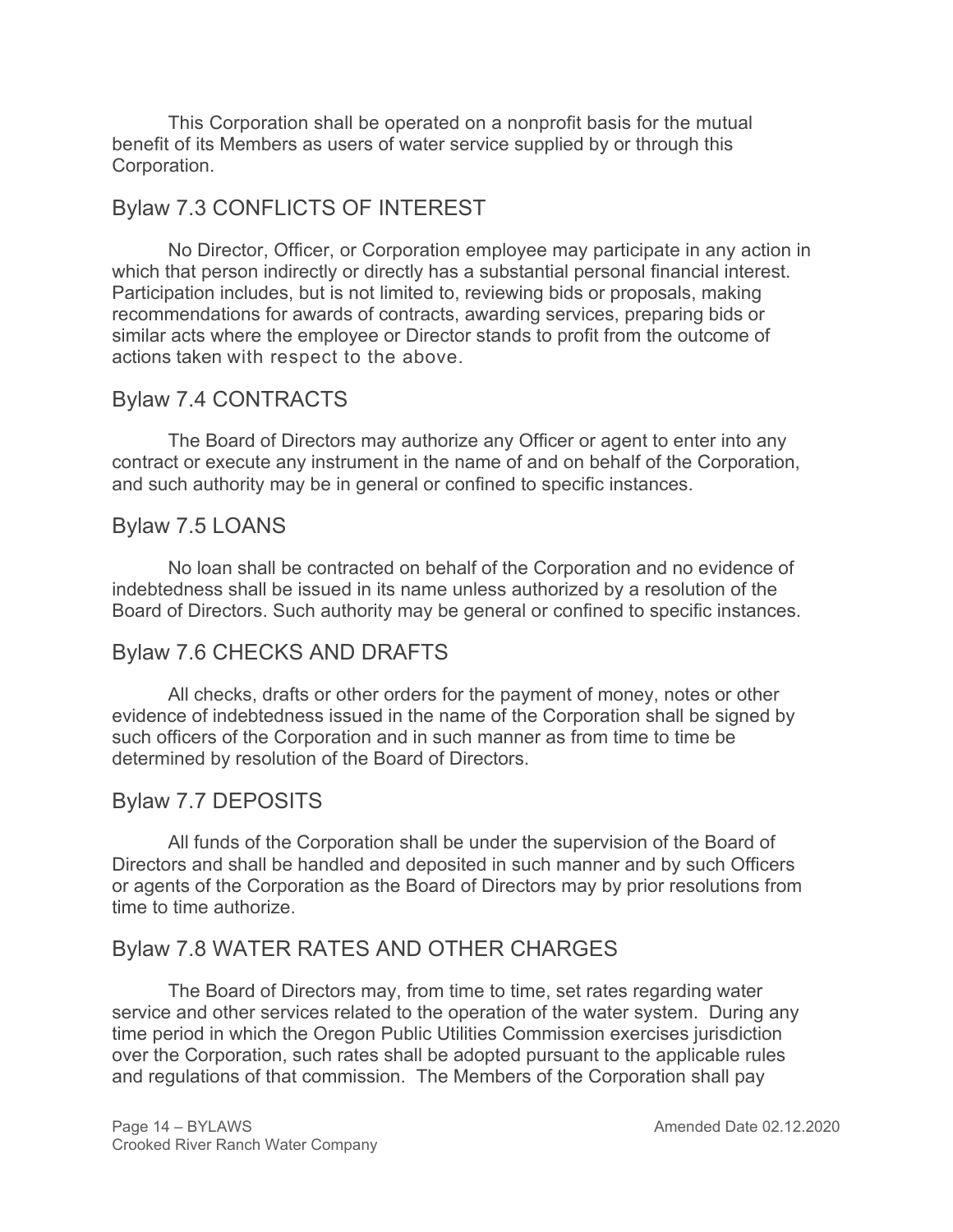This Corporation shall be operated on a nonprofit basis for the mutual benefit of its Members as users of water service supplied by or through this Corporation.

### Bylaw 7.3 CONFLICTS OF INTEREST

No Director, Officer, or Corporation employee may participate in any action in which that person indirectly or directly has a substantial personal financial interest. Participation includes, but is not limited to, reviewing bids or proposals, making recommendations for awards of contracts, awarding services, preparing bids or similar acts where the employee or Director stands to profit from the outcome of actions taken with respect to the above.

### Bylaw 7.4 CONTRACTS

The Board of Directors may authorize any Officer or agent to enter into any contract or execute any instrument in the name of and on behalf of the Corporation, and such authority may be in general or confined to specific instances.

### Bylaw 7.5 LOANS

No loan shall be contracted on behalf of the Corporation and no evidence of indebtedness shall be issued in its name unless authorized by a resolution of the Board of Directors. Such authority may be general or confined to specific instances.

### Bylaw 7.6 CHECKS AND DRAFTS

All checks, drafts or other orders for the payment of money, notes or other evidence of indebtedness issued in the name of the Corporation shall be signed by such officers of the Corporation and in such manner as from time to time be determined by resolution of the Board of Directors.

### Bylaw 7.7 DEPOSITS

All funds of the Corporation shall be under the supervision of the Board of Directors and shall be handled and deposited in such manner and by such Officers or agents of the Corporation as the Board of Directors may by prior resolutions from time to time authorize.

### Bylaw 7.8 WATER RATES AND OTHER CHARGES

The Board of Directors may, from time to time, set rates regarding water service and other services related to the operation of the water system. During any time period in which the Oregon Public Utilities Commission exercises jurisdiction over the Corporation, such rates shall be adopted pursuant to the applicable rules and regulations of that commission. The Members of the Corporation shall pay